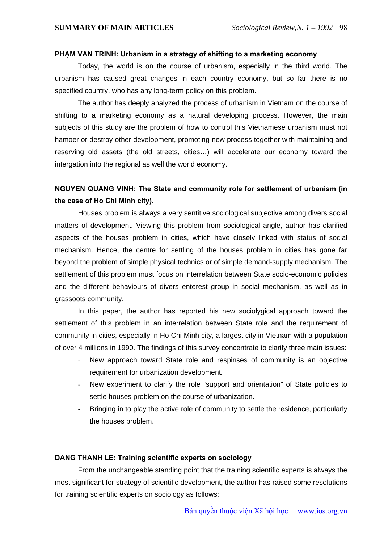### **PHẠM VAN TRINH: Urbanism in a strategy of shifting to a marketing economy**

Today, the world is on the course of urbanism, especially in the third world. The urbanism has caused great changes in each country economy, but so far there is no specified country, who has any long-term policy on this problem.

The author has deeply analyzed the process of urbanism in Vietnam on the course of shifting to a marketing economy as a natural developing process. However, the main subjects of this study are the problem of how to control this Vietnamese urbanism must not hamoer or destroy other development, promoting new process together with maintaining and reserving old assets (the old streets, cities…) will accelerate our economy toward the intergation into the regional as well the world economy.

# **NGUYEN QUANG VINH: The State and community role for settlement of urbanism (in the case of Ho Chi Minh city).**

Houses problem is always a very sentitive sociological subjective among divers social matters of development. Viewing this problem from sociological angle, author has clarified aspects of the houses problem in cities, which have closely linked with status of social mechanism. Hence, the centre for settling of the houses problem in cities has gone far beyond the problem of simple physical technics or of simple demand-supply mechanism. The settlement of this problem must focus on interrelation between State socio-economic policies and the different behaviours of divers enterest group in social mechanism, as well as in grassoots community.

In this paper, the author has reported his new sociolygical approach toward the settlement of this problem in an interrelation between State role and the requirement of community in cities, especially in Ho Chi Minh city, a largest city in Vietnam with a population of over 4 millions in 1990. The findings of this survey concentrate to clarify three main issues:

- New approach toward State role and respinses of community is an objective requirement for urbanization development.
- New experiment to clarify the role "support and orientation" of State policies to settle houses problem on the course of urbanization.
- Bringing in to play the active role of community to settle the residence, particularly the houses problem.

#### **DANG THANH LE: Training scientific experts on sociology**

From the unchangeable standing point that the training scientific experts is always the most significant for strategy of scientific development, the author has raised some resolutions for training scientific experts on sociology as follows: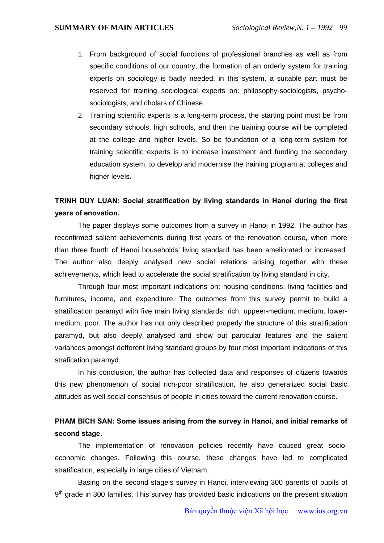- 1. From background of social functions of professional branches as well as from specific conditions of our country, the formation of an orderly system for training experts on sociology is badly needed, in this system, a suitable part must be reserved for training sociological experts on: philosophy-sociologists, psychosociologists, and cholars of Chinese.
- 2. Training scientific experts is a long-term process, the starting point must be from secondary schools, high schools, and then the training course will be completed at the college and higher levels. So be foundation of a long-term system for training scientific experts is to increase investment and funding the secondary education system, to develop and modernise the training program at colleges and higher levels.

# **TRINH DUY LUAN: Social stratification by living standards in Hanoi during the first years of enovation.**

The paper displays some outcomes from a survey in Hanoi in 1992. The author has reconfirmed salient achievements during first years of the renovation course, when more than three fourth of Hanoi households' living standard has been ameliorated or increased. The author also deeply analysed new social relations arising together with these achievements, which lead to accelerate the social stratification by living standard in city.

Through four most important indications on: housing conditions, living facilities and furnitures, income, and expenditure. The outcomes from this survey permit to build a stratification paramyd with five main living standards: rich, uppeer-medium, medium, lowermedium, poor. The author has not only described properly the structure of this stratification paramyd, but also deeply analysed and show out particular features and the salient variances amongst defferent living standard groups by four most important indications of this strafication paramyd.

In his conclusion, the author has collected data and responses of citizens towards this new phenomenon of social rich-poor stratification, he also generalized social basic attitudes as well social consensus of people in cities toward the current renovation course.

# **PHAM BICH SAN: Some issues arising from the survey in Hanoi, and initial remarks of second stage.**

The implementation of renovation policies recently have caused great socioeconomic changes. Following this course, these changes have led to complicated stratification, especially in large cities of Vietnam.

Basing on the second stage's survey in Hanoi, interviewing 300 parents of pupils of  $9<sup>th</sup>$  grade in 300 families. This survey has provided basic indications on the present situation